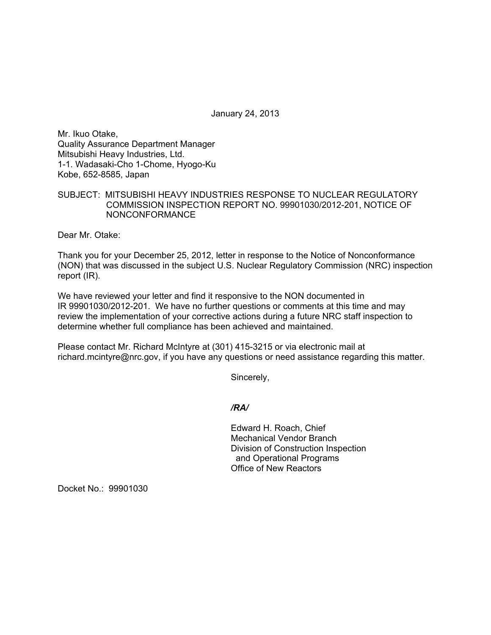January 24, 2013

Mr. Ikuo Otake, Quality Assurance Department Manager Mitsubishi Heavy Industries, Ltd. 1-1. Wadasaki-Cho 1-Chome, Hyogo-Ku Kobe, 652-8585, Japan

## SUBJECT: MITSUBISHI HEAVY INDUSTRIES RESPONSE TO NUCLEAR REGULATORY COMMISSION INSPECTION REPORT NO. 99901030/2012-201, NOTICE OF NONCONFORMANCE

Dear Mr. Otake:

Thank you for your December 25, 2012, letter in response to the Notice of Nonconformance (NON) that was discussed in the subject U.S. Nuclear Regulatory Commission (NRC) inspection report (IR).

We have reviewed your letter and find it responsive to the NON documented in IR 99901030/2012-201. We have no further questions or comments at this time and may review the implementation of your corrective actions during a future NRC staff inspection to determine whether full compliance has been achieved and maintained.

Please contact Mr. Richard McIntyre at (301) 415-3215 or via electronic mail at richard.mcintyre@nrc.gov, if you have any questions or need assistance regarding this matter.

Sincerely,

## */RA/*

Edward H. Roach, Chief Mechanical Vendor Branch Division of Construction Inspection and Operational Programs Office of New Reactors

Docket No.: 99901030